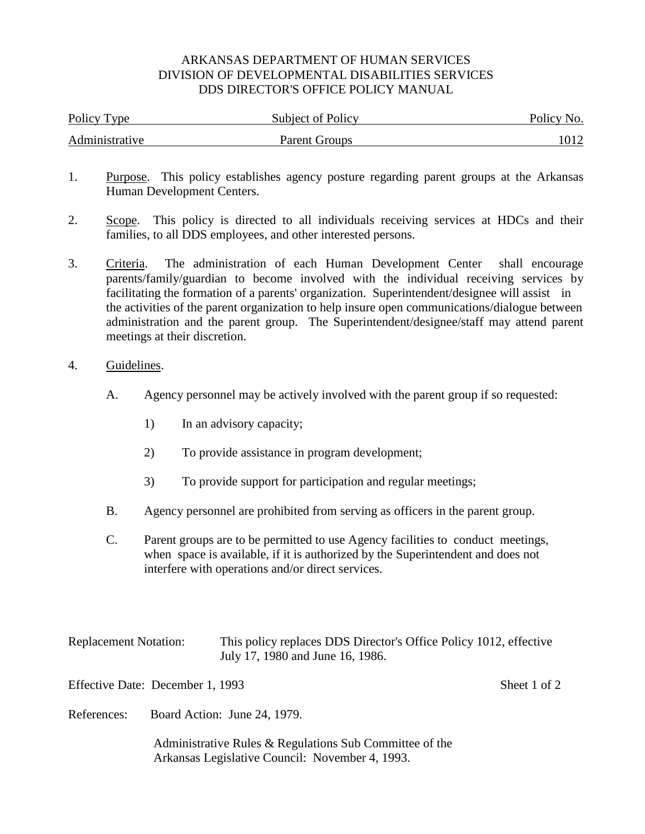## ARKANSAS DEPARTMENT OF HUMAN SERVICES DIVISION OF DEVELOPMENTAL DISABILITIES SERVICES DDS DIRECTOR'S OFFICE POLICY MANUAL

| Policy Type    | Subject of Policy | Policy No. |
|----------------|-------------------|------------|
| Administrative | Parent Groups     |            |

- 1. Purpose. This policy establishes agency posture regarding parent groups at the Arkansas Human Development Centers.
- 2. Scope. This policy is directed to all individuals receiving services at HDCs and their families, to all DDS employees, and other interested persons.
- 3. Criteria. The administration of each Human Development Center shall encourage parents/family/guardian to become involved with the individual receiving services by facilitating the formation of a parents' organization. Superintendent/designee will assist in the activities of the parent organization to help insure open communications/dialogue between administration and the parent group. The Superintendent/designee/staff may attend parent meetings at their discretion.
- 4. Guidelines.
	- A. Agency personnel may be actively involved with the parent group if so requested:
		- 1) In an advisory capacity;
		- 2) To provide assistance in program development;
		- 3) To provide support for participation and regular meetings;
	- B. Agency personnel are prohibited from serving as officers in the parent group.
	- C. Parent groups are to be permitted to use Agency facilities to conduct meetings, when space is available, if it is authorized by the Superintendent and does not interfere with operations and/or direct services.

| <b>Replacement Notation:</b> | This policy replaces DDS Director's Office Policy 1012, effective |
|------------------------------|-------------------------------------------------------------------|
|                              | July 17, 1980 and June 16, 1986.                                  |

Effective Date: December 1, 1993 Sheet 1 of 2

References: Board Action: June 24, 1979.

 Administrative Rules & Regulations Sub Committee of the Arkansas Legislative Council: November 4, 1993.